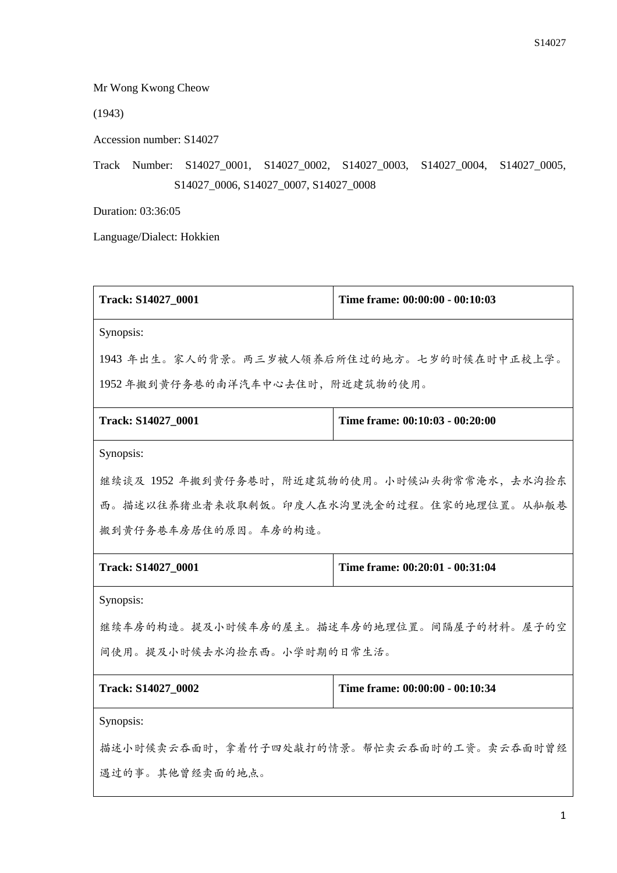Mr Wong Kwong Cheow

(1943)

Accession number: S14027

Track Number: S14027\_0001, S14027\_0002, S14027\_0003, S14027\_0004, S14027\_0005, S14027\_0006, S14027\_0007, S14027\_0008

Duration: 03:36:05

Language/Dialect: Hokkien

| Track: S14027_0001                             | Time frame: 00:00:00 - 00:10:03 |
|------------------------------------------------|---------------------------------|
| Synopsis:                                      |                                 |
| 1943 年出生。家人的背景。两三岁被人领养后所住过的地方。七岁的时候在时中正校上学。    |                                 |
| 1952年搬到黄仔务巷的南洋汽车中心去住时,附近建筑物的使用。                |                                 |
| Track: S14027_0001                             | Time frame: 00:10:03 - 00:20:00 |
| Synopsis:                                      |                                 |
| 继续谈及 1952 年搬到黄仔务巷时, 附近建筑物的使用。小时候汕头街常常淹水, 去水沟捡东 |                                 |
| 西。描述以往养猪业者来收取剩饭。印度人在水沟里洗金的过程。住家的地理位置。从舢舨巷      |                                 |
| 搬到黄仔务巷车房居住的原因。车房的构造。                           |                                 |
| Track: S14027_0001                             | Time frame: 00:20:01 - 00:31:04 |
| Synopsis:                                      |                                 |
| 继续车房的构造。提及小时候车房的屋主。描述车房的地理位置。间隔屋子的材料。屋子的空      |                                 |
| 间使用。提及小时候去水沟捡东西。小学时期的日常生活。                     |                                 |
| Track: S14027_0002                             | Time frame: 00:00:00 - 00:10:34 |
| Synopsis:                                      |                                 |
| 描述小时候卖云吞面时,拿着竹子四处敲打的情景。帮忙卖云吞面时的工资。卖云吞面时曾经      |                                 |
| 遇过的事。其他曾经卖面的地点。                                |                                 |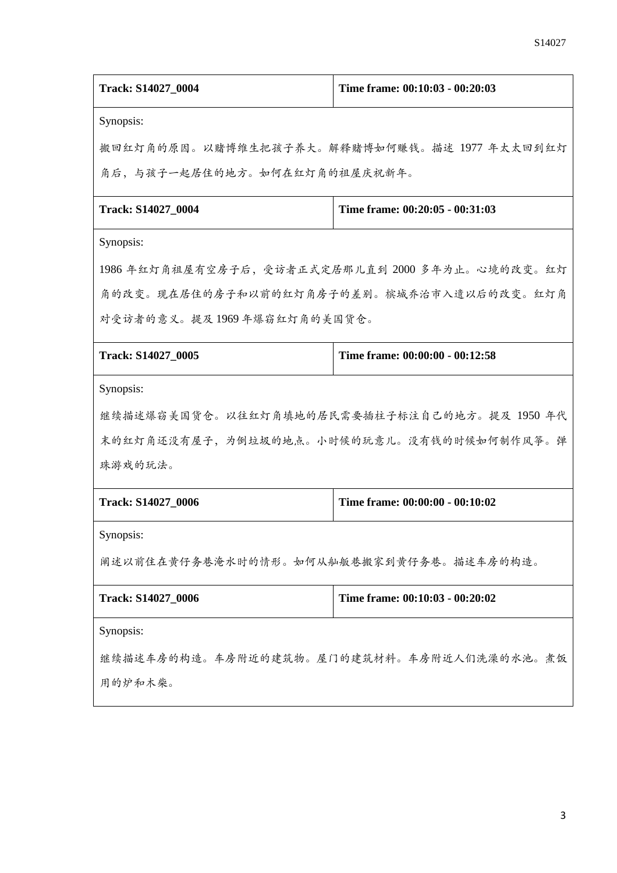| Track: S14027_0004                              | Time frame: 00:10:03 - 00:20:03 |  |
|-------------------------------------------------|---------------------------------|--|
| Synopsis:                                       |                                 |  |
| 搬回红灯角的原因。以赌博维生把孩子养大。解释赌博如何赚钱。描述 1977 年太太回到红灯    |                                 |  |
| 角后,与孩子一起居住的地方。如何在红灯角的祖屋庆祝新年。                    |                                 |  |
| Track: S14027_0004                              | Time frame: 00:20:05 - 00:31:03 |  |
| Synopsis:                                       |                                 |  |
| 1986 年红灯角祖屋有空房子后,受访者正式定居那儿直到 2000 多年为止。心境的改变。红灯 |                                 |  |
| 角的改变。现在居住的房子和以前的红灯角房子的差别。槟城乔治市入遗以后的改变。红灯角       |                                 |  |
| 对受访者的意义。提及1969年爆窃红灯角的美国货仓。                      |                                 |  |
| Track: S14027_0005                              | Time frame: 00:00:00 - 00:12:58 |  |
| Synopsis:                                       |                                 |  |
| 继续描述爆窃美国货仓。以往红灯角填地的居民需要插柱子标注自己的地方。提及 1950 年代    |                                 |  |
| 末的红灯角还没有屋子,为倒垃圾的地点。小时候的玩意儿。没有钱的时候如何制作风筝。弹       |                                 |  |
| 珠游戏的玩法。                                         |                                 |  |
| Track: S14027 0006                              | Time frame: 00:00:00 - 00:10:02 |  |
| Synopsis:                                       |                                 |  |
| 阐述以前住在黄仔务巷淹水时的情形。如何从舢舨巷搬家到黄仔务巷。描述车房的构造。         |                                 |  |
| Track: S14027_0006                              | Time frame: 00:10:03 - 00:20:02 |  |
| Synopsis:                                       |                                 |  |
| 继续描述车房的构造。车房附近的建筑物。屋门的建筑材料。车房附近人们洗澡的水池。煮饭       |                                 |  |
| 用的炉和木柴。                                         |                                 |  |
|                                                 |                                 |  |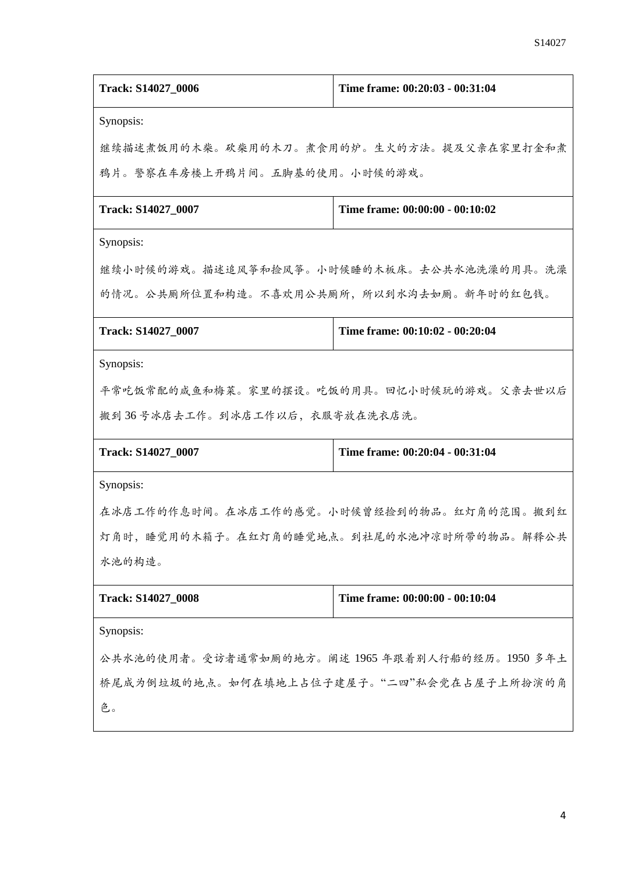| Track: S14027_0006                              | Time frame: 00:20:03 - 00:31:04 |
|-------------------------------------------------|---------------------------------|
| Synopsis:                                       |                                 |
| 继续描述煮饭用的木柴。砍柴用的木刀。煮食用的炉。生火的方法。提及父亲在家里打金和煮       |                                 |
| 鸦片。警察在车房楼上开鸦片间。五脚基的使用。小时候的游戏。                   |                                 |
| Track: S14027_0007                              | Time frame: 00:00:00 - 00:10:02 |
| Synopsis:                                       |                                 |
| 继续小时候的游戏。描述追风筝和捡风筝。小时候睡的木板床。去公共水池洗澡的用具。洗澡       |                                 |
| 的情况。公共厕所位置和构造。不喜欢用公共厕所,所以到水沟去如厕。新年时的红包钱。        |                                 |
| Track: S14027_0007                              | Time frame: 00:10:02 - 00:20:04 |
| Synopsis:                                       |                                 |
| 平常吃饭常配的咸鱼和梅菜。家里的摆设。吃饭的用具。回忆小时候玩的游戏。父亲去世以后       |                                 |
| 搬到36号冰店去工作。到冰店工作以后,衣服寄放在洗衣店洗。                   |                                 |
| Track: S14027_0007                              | Time frame: 00:20:04 - 00:31:04 |
| Synopsis:                                       |                                 |
| 在冰店工作的作息时间。在冰店工作的感觉。小时候曾经捡到的物品。红灯角的范围。搬到红       |                                 |
| 灯角时,睡觉用的木箱子。在红灯角的睡觉地点。到社尾的水池冲凉时所带的物品。解释公共       |                                 |
| 水池的构造。                                          |                                 |
| Track: S14027_0008                              | Time frame: 00:00:00 - 00:10:04 |
| Synopsis:                                       |                                 |
| 公共水池的使用者。受访者通常如厕的地方。阐述 1965 年跟着别人行船的经历。1950 多年土 |                                 |
| 桥尾成为倒垃圾的地点。如何在填地上占位子建屋子。"二四"私会党在占屋子上所扮演的角       |                                 |
| 色。                                              |                                 |
|                                                 |                                 |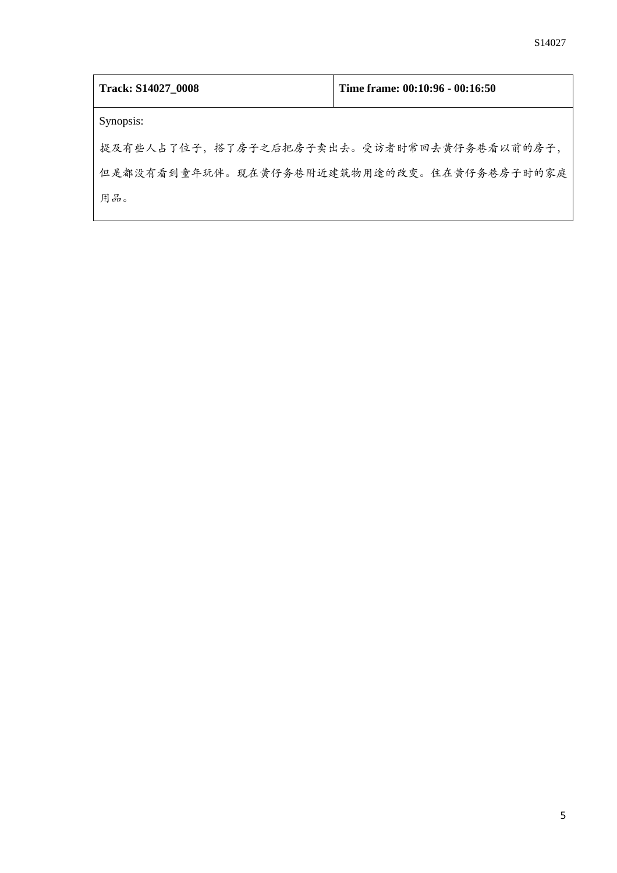| Track: S14027_0008                        | Time frame: 00:10:96 - 00:16:50 |
|-------------------------------------------|---------------------------------|
| Synopsis:                                 |                                 |
| 提及有些人占了位子,搭了房子之后把房子卖出去。受访者时常回去黄仔务巷看以前的房子, |                                 |
| 但是都没有看到童年玩伴。现在黄仔务巷附近建筑物用途的改变。住在黄仔务巷房子时的家庭 |                                 |
| 用品。                                       |                                 |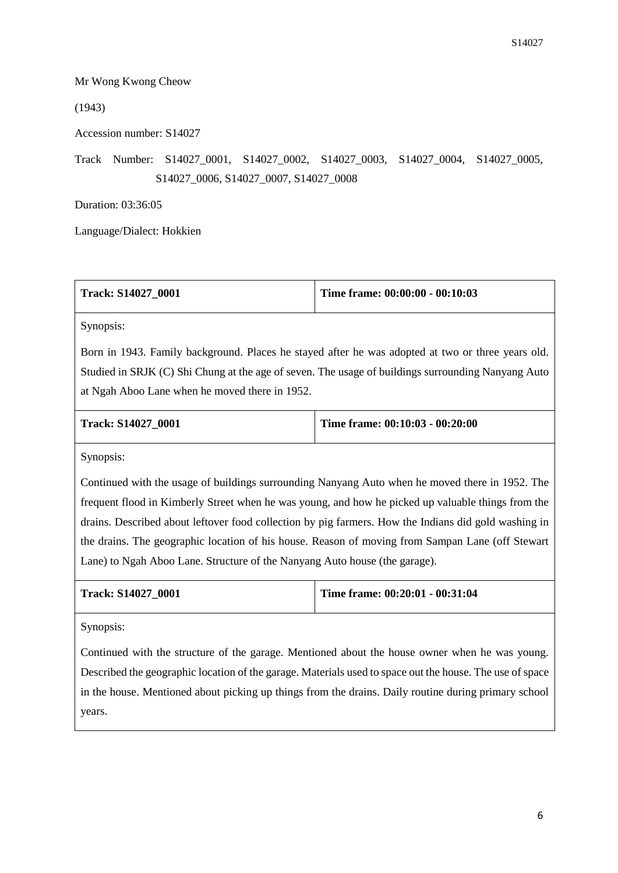## Mr Wong Kwong Cheow

(1943)

Accession number: S14027

Track Number: S14027\_0001, S14027\_0002, S14027\_0003, S14027\_0004, S14027\_0005, S14027\_0006, S14027\_0007, S14027\_0008

Duration: 03:36:05

Language/Dialect: Hokkien

| Time frame: $00:00:00 - 00:10:03$ |
|-----------------------------------|
|                                   |

Synopsis:

Born in 1943. Family background. Places he stayed after he was adopted at two or three years old. Studied in SRJK (C) Shi Chung at the age of seven. The usage of buildings surrounding Nanyang Auto at Ngah Aboo Lane when he moved there in 1952.

| <b>Track: S14027 0001</b> | Time frame: $00:10:03 - 00:20:00$ |
|---------------------------|-----------------------------------|
|                           |                                   |

Synopsis:

Continued with the usage of buildings surrounding Nanyang Auto when he moved there in 1952. The frequent flood in Kimberly Street when he was young, and how he picked up valuable things from the drains. Described about leftover food collection by pig farmers. How the Indians did gold washing in the drains. The geographic location of his house. Reason of moving from Sampan Lane (off Stewart Lane) to Ngah Aboo Lane. Structure of the Nanyang Auto house (the garage).

**Track: S14027\_0001 Time frame: 00:20:01 - 00:31:04**

Synopsis:

Continued with the structure of the garage. Mentioned about the house owner when he was young. Described the geographic location of the garage. Materials used to space out the house. The use of space in the house. Mentioned about picking up things from the drains. Daily routine during primary school years.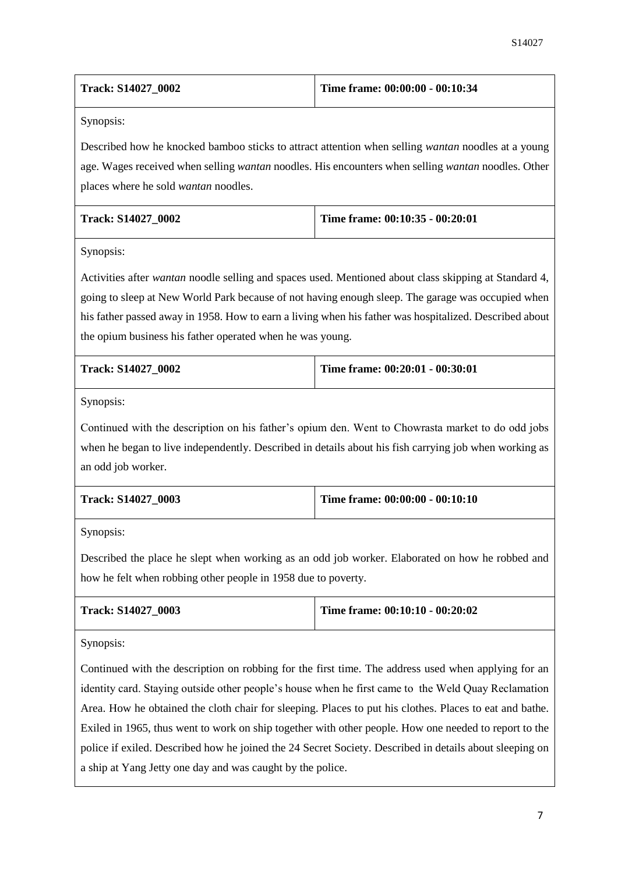| Track: S14027 0002 | Time frame: 00:00:00 - 00:10:34 |
|--------------------|---------------------------------|
|                    |                                 |

Described how he knocked bamboo sticks to attract attention when selling *wantan* noodles at a young age. Wages received when selling *wantan* noodles. His encounters when selling *wantan* noodles. Other places where he sold *wantan* noodles.

| <b>Track: S14027 0002</b> | Time frame: $00:10:35 - 00:20:01$ |
|---------------------------|-----------------------------------|
|                           |                                   |

Synopsis:

Activities after *wantan* noodle selling and spaces used. Mentioned about class skipping at Standard 4, going to sleep at New World Park because of not having enough sleep. The garage was occupied when his father passed away in 1958. How to earn a living when his father was hospitalized. Described about the opium business his father operated when he was young.

| <b>Track: S14027 0002</b> | Time frame: $00:20:01 - 00:30:01$ |
|---------------------------|-----------------------------------|
|                           |                                   |

Synopsis:

Continued with the description on his father's opium den. Went to Chowrasta market to do odd jobs when he began to live independently. Described in details about his fish carrying job when working as an odd job worker.

| <b>Track: S14027 0003</b> | Time frame: $00:00:00 - 00:10:10$ |
|---------------------------|-----------------------------------|
|                           |                                   |

Synopsis:

Described the place he slept when working as an odd job worker. Elaborated on how he robbed and how he felt when robbing other people in 1958 due to poverty.

| <b>Track: S14027 0003</b> | Time frame: $00:10:10 - 00:20:02$ |
|---------------------------|-----------------------------------|
|                           |                                   |

Synopsis:

Continued with the description on robbing for the first time. The address used when applying for an identity card. Staying outside other people's house when he first came to the Weld Quay Reclamation Area. How he obtained the cloth chair for sleeping. Places to put his clothes. Places to eat and bathe. Exiled in 1965, thus went to work on ship together with other people. How one needed to report to the police if exiled. Described how he joined the 24 Secret Society. Described in details about sleeping on a ship at Yang Jetty one day and was caught by the police.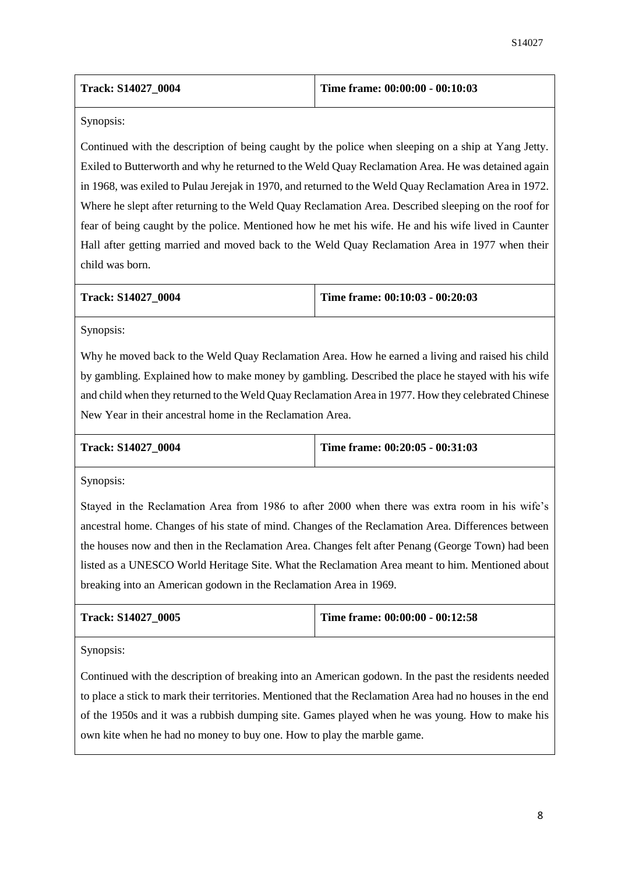| <b>Track: S14027 0004</b> | Time frame: 00:00:00 - 00:10:03 |
|---------------------------|---------------------------------|
|---------------------------|---------------------------------|

Continued with the description of being caught by the police when sleeping on a ship at Yang Jetty. Exiled to Butterworth and why he returned to the Weld Quay Reclamation Area. He was detained again in 1968, was exiled to Pulau Jerejak in 1970, and returned to the Weld Quay Reclamation Area in 1972. Where he slept after returning to the Weld Quay Reclamation Area. Described sleeping on the roof for fear of being caught by the police. Mentioned how he met his wife. He and his wife lived in Caunter Hall after getting married and moved back to the Weld Quay Reclamation Area in 1977 when their child was born.

|  | Track: S14027 0004 |  |
|--|--------------------|--|
|--|--------------------|--|

## **Time frame: 00:10:03 - 00:20:03**

Synopsis:

Why he moved back to the Weld Quay Reclamation Area. How he earned a living and raised his child by gambling. Explained how to make money by gambling. Described the place he stayed with his wife and child when they returned to the Weld Quay Reclamation Area in 1977. How they celebrated Chinese New Year in their ancestral home in the Reclamation Area.

| Track: S14027 0004 |  |  |
|--------------------|--|--|
|--------------------|--|--|

**Track: S14027\_0004 Time frame: 00:20:05 - 00:31:03**

Synopsis:

Stayed in the Reclamation Area from 1986 to after 2000 when there was extra room in his wife's ancestral home. Changes of his state of mind. Changes of the Reclamation Area. Differences between the houses now and then in the Reclamation Area. Changes felt after Penang (George Town) had been listed as a UNESCO World Heritage Site. What the Reclamation Area meant to him. Mentioned about breaking into an American godown in the Reclamation Area in 1969.

| Track: S14027 0005 | Time frame: $00:00:00 - 00:12:58$ |
|--------------------|-----------------------------------|
|                    |                                   |

Synopsis:

Continued with the description of breaking into an American godown. In the past the residents needed to place a stick to mark their territories. Mentioned that the Reclamation Area had no houses in the end of the 1950s and it was a rubbish dumping site. Games played when he was young. How to make his own kite when he had no money to buy one. How to play the marble game.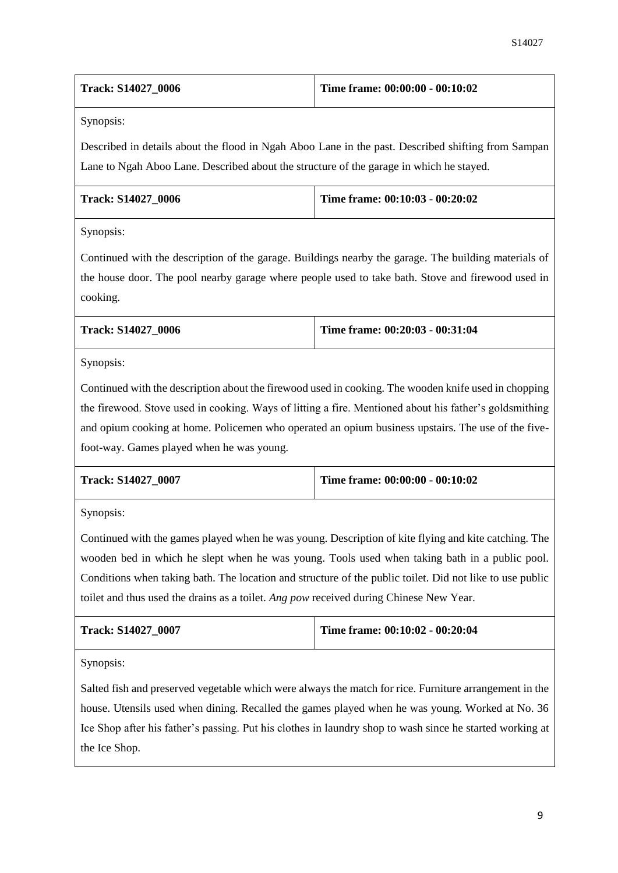| <b>Track: S14027 0006</b> | Time frame: $00:00:00 - 00:10:02$ |
|---------------------------|-----------------------------------|
|---------------------------|-----------------------------------|

Described in details about the flood in Ngah Aboo Lane in the past. Described shifting from Sampan Lane to Ngah Aboo Lane. Described about the structure of the garage in which he stayed.

| <b>Track: S14027 0006</b> | Time frame: 00:10:03 - 00:20:02 |
|---------------------------|---------------------------------|
|                           |                                 |

Synopsis:

Continued with the description of the garage. Buildings nearby the garage. The building materials of the house door. The pool nearby garage where people used to take bath. Stove and firewood used in cooking.

| <b>Track: S14027 0006</b> | Time frame: $00:20:03 - 00:31:04$ |
|---------------------------|-----------------------------------|
|                           |                                   |

Synopsis:

Continued with the description about the firewood used in cooking. The wooden knife used in chopping the firewood. Stove used in cooking. Ways of litting a fire. Mentioned about his father's goldsmithing and opium cooking at home. Policemen who operated an opium business upstairs. The use of the fivefoot-way. Games played when he was young.

| Track: S14027 0007 | Time frame: 00:00:00 - 00:10:02 |
|--------------------|---------------------------------|
|                    |                                 |

Synopsis:

Continued with the games played when he was young. Description of kite flying and kite catching. The wooden bed in which he slept when he was young. Tools used when taking bath in a public pool. Conditions when taking bath. The location and structure of the public toilet. Did not like to use public toilet and thus used the drains as a toilet. *Ang pow* received during Chinese New Year.

| Track: S14027 0007 | Time frame: 00:10:02 - 00:20:04 |
|--------------------|---------------------------------|
|                    |                                 |

Synopsis:

Salted fish and preserved vegetable which were always the match for rice. Furniture arrangement in the house. Utensils used when dining. Recalled the games played when he was young. Worked at No. 36 Ice Shop after his father's passing. Put his clothes in laundry shop to wash since he started working at the Ice Shop.